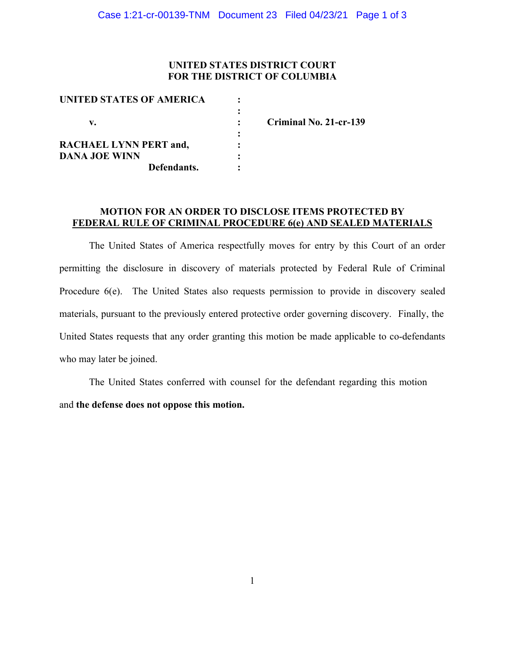### **UNITED STATES DISTRICT COURT FOR THE DISTRICT OF COLUMBIA**

| UNITED STATES OF AMERICA      |                        |
|-------------------------------|------------------------|
|                               |                        |
| v.                            | Criminal No. 21-cr-139 |
|                               |                        |
| <b>RACHAEL LYNN PERT and,</b> |                        |
| <b>DANA JOE WINN</b>          |                        |
| Defendants.                   |                        |

#### **MOTION FOR AN ORDER TO DISCLOSE ITEMS PROTECTED BY FEDERAL RULE OF CRIMINAL PROCEDURE 6(e) AND SEALED MATERIALS**

The United States of America respectfully moves for entry by this Court of an order permitting the disclosure in discovery of materials protected by Federal Rule of Criminal Procedure 6(e). The United States also requests permission to provide in discovery sealed materials, pursuant to the previously entered protective order governing discovery. Finally, the United States requests that any order granting this motion be made applicable to co-defendants who may later be joined.

The United States conferred with counsel for the defendant regarding this motion and **the defense does not oppose this motion.**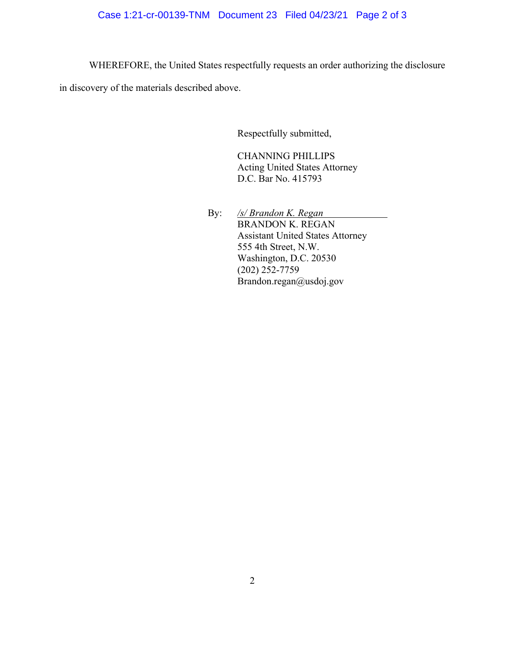# Case 1:21-cr-00139-TNM Document 23 Filed 04/23/21 Page 2 of 3

WHEREFORE, the United States respectfully requests an order authorizing the disclosure

in discovery of the materials described above.

Respectfully submitted,

CHANNING PHILLIPS Acting United States Attorney D.C. Bar No. 415793

By: */s/ Brandon K. Regan* BRANDON K. REGAN Assistant United States Attorney 555 4th Street, N.W. Washington, D.C. 20530 (202) 252-7759 Brandon.regan@usdoj.gov